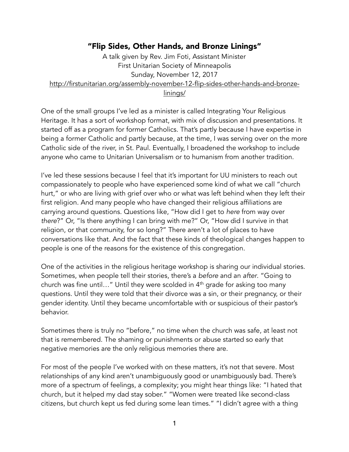## "Flip Sides, Other Hands, and Bronze Linings"

A talk given by Rev. Jim Foti, Assistant Minister First Unitarian Society of Minneapolis Sunday, November 12, 2017 [http://firstunitarian.org/assembly-november-12-flip-sides-other-hands-and-bronze](http://firstunitarian.org/assembly-november-12-flip-sides-other-hands-and-bronze-linings/)linings/

One of the small groups I've led as a minister is called Integrating Your Religious Heritage. It has a sort of workshop format, with mix of discussion and presentations. It started off as a program for former Catholics. That's partly because I have expertise in being a former Catholic and partly because, at the time, I was serving over on the more Catholic side of the river, in St. Paul. Eventually, I broadened the workshop to include anyone who came to Unitarian Universalism or to humanism from another tradition.

I've led these sessions because I feel that it's important for UU ministers to reach out compassionately to people who have experienced some kind of what we call "church hurt," or who are living with grief over who or what was left behind when they left their first religion. And many people who have changed their religious affiliations are carrying around questions. Questions like, "How did I get to *here* from way over *there*?" Or, "Is there anything I can bring with me?" Or, "How did I survive in that religion, or that community, for so long?" There aren't a lot of places to have conversations like that. And the fact that these kinds of theological changes happen to people is one of the reasons for the existence of this congregation.

One of the activities in the religious heritage workshop is sharing our individual stories. Sometimes, when people tell their stories, there's a *before* and an *after*. "Going to church was fine until..." Until they were scolded in 4<sup>th</sup> grade for asking too many questions. Until they were told that their divorce was a sin, or their pregnancy, or their gender identity. Until they became uncomfortable with or suspicious of their pastor's behavior.

Sometimes there is truly no "before," no time when the church was safe, at least not that is remembered. The shaming or punishments or abuse started so early that negative memories are the only religious memories there are.

For most of the people I've worked with on these matters, it's not that severe. Most relationships of any kind aren't unambiguously good or unambiguously bad. There's more of a spectrum of feelings, a complexity; you might hear things like: "I hated that church, but it helped my dad stay sober." "Women were treated like second-class citizens, but church kept us fed during some lean times." "I didn't agree with a thing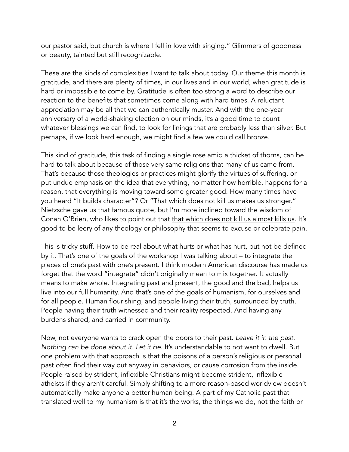our pastor said, but church is where I fell in love with singing." Glimmers of goodness or beauty, tainted but still recognizable.

These are the kinds of complexities I want to talk about today. Our theme this month is gratitude, and there are plenty of times, in our lives and in our world, when gratitude is hard or impossible to come by. Gratitude is often too strong a word to describe our reaction to the benefits that sometimes come along with hard times. A reluctant appreciation may be all that we can authentically muster. And with the one-year anniversary of a world-shaking election on our minds, it's a good time to count whatever blessings we can find, to look for linings that are probably less than silver. But perhaps, if we look hard enough, we might find a few we could call bronze.

This kind of gratitude, this task of finding a single rose amid a thicket of thorns, can be hard to talk about because of those very same religions that many of us came from. That's because those theologies or practices might glorify the virtues of suffering, or put undue emphasis on the idea that everything, no matter how horrible, happens for a reason, that everything is moving toward some greater good. How many times have you heard "It builds character"? Or "That which does not kill us makes us stronger." Nietzsche gave us that famous quote, but I'm more inclined toward the wisdom of Conan O'Brien, who likes to point out that [that which does not kill us almost kills us.](http://www.mbird.com/2012/05/what-doesnt-kill-you-almost-kills-you-conan-obrien/) It's good to be leery of any theology or philosophy that seems to excuse or celebrate pain.

This is tricky stuff. How to be real about what hurts or what has hurt, but not be defined by it. That's one of the goals of the workshop I was talking about – to integrate the pieces of one's past with one's present. I think modern American discourse has made us forget that the word "integrate" didn't originally mean to mix together. It actually means to make whole. Integrating past and present, the good and the bad, helps us live into our full humanity. And that's one of the goals of humanism, for ourselves and for all people. Human flourishing, and people living their truth, surrounded by truth. People having their truth witnessed and their reality respected. And having any burdens shared, and carried in community.

Now, not everyone wants to crack open the doors to their past. *Leave it in the past. Nothing can be done about it. Let it be*. It's understandable to not want to dwell. But one problem with that approach is that the poisons of a person's religious or personal past often find their way out anyway in behaviors, or cause corrosion from the inside. People raised by strident, inflexible Christians might become strident, inflexible atheists if they aren't careful. Simply shifting to a more reason-based worldview doesn't automatically make anyone a better human being. A part of my Catholic past that translated well to my humanism is that it's the works, the things we do, not the faith or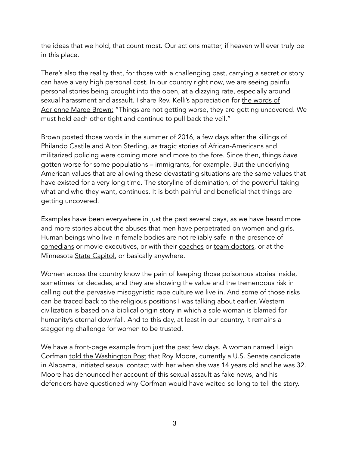the ideas that we hold, that count most. Our actions matter, if heaven will ever truly be in this place.

There's also the reality that, for those with a challenging past, carrying a secret or story can have a very high personal cost. In our country right now, we are seeing painful personal stories being brought into the open, at a dizzying rate, especially around [sexual harassment and assault. I share Rev. Kelli's appreciation for the words of](https://twitter.com/adriennemaree/status/751799298791211008?lang=en)  Adrienne Maree Brown: "Things are not getting worse, they are getting uncovered. We must hold each other tight and continue to pull back the veil."

Brown posted those words in the summer of 2016, a few days after the killings of Philando Castile and Alton Sterling, as tragic stories of African-Americans and militarized policing were coming more and more to the fore. Since then, things *have* gotten worse for some populations – immigrants, for example. But the underlying American values that are allowing these devastating situations are the same values that have existed for a very long time. The storyline of domination, of the powerful taking what and who they want, continues. It is both painful and beneficial that things are getting uncovered.

Examples have been everywhere in just the past several days, as we have heard more and more stories about the abuses that men have perpetrated on women and girls. Human beings who live in female bodies are not reliably safe in the presence of [comedians](http://www.slate.com/blogs/xx_factor/2017/11/10/louis_c_k_s_masturbation_statement_unnervingly_misunderstands_the_concept.html) or movie executives, or with their [coaches](https://www.nytimes.com/2017/11/09/opinion/diana-nyad-sexual-assault.html?_r=0) or [team doctors](http://www.cnn.com/2017/11/10/us/aly-raisman-abuse-usa-gymnastics/index.html), or at the Minnesota **State Capitol**, or basically anywhere.

Women across the country know the pain of keeping those poisonous stories inside, sometimes for decades, and they are showing the value and the tremendous risk in calling out the pervasive misogynistic rape culture we live in. And some of those risks can be traced back to the religious positions I was talking about earlier. Western civilization is based on a biblical origin story in which a sole woman is blamed for humanity's eternal downfall. And to this day, at least in our country, it remains a staggering challenge for women to be trusted.

We have a front-page example from just the past few days. A woman named Leigh Corfman [told the Washington Post](https://www.washingtonpost.com/investigations/woman-says-roy-moore-initiated-sexual-encounter-when-she-was-14-he-was-32/2017/11/09/1f495878-c293-11e7-afe9-4f60b5a6c4a0_story.html?tid=pm_pop&utm_term=.2521a114628c) that Roy Moore, currently a U.S. Senate candidate in Alabama, initiated sexual contact with her when she was 14 years old and he was 32. Moore has denounced her account of this sexual assault as fake news, and his defenders have questioned why Corfman would have waited so long to tell the story.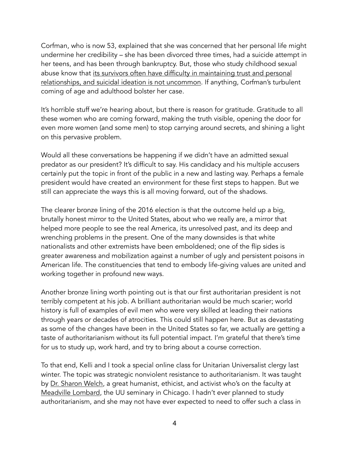Corfman, who is now 53, explained that she was concerned that her personal life might undermine her credibility – she has been divorced three times, had a suicide attempt in her teens, and has been through bankruptcy. But, those who study childhood sexual abuse know that its survivors often have difficulty in maintaining trust and personal [relationships, and suicidal ideation is not uncommon. If anything, Corfman's turbule](https://www.counseling.org/docs/disaster-and-trauma_sexual-abuse/long-term-effects-of-childhood-sexual-abuse.pdf)nt coming of age and adulthood bolster her case.

It's horrible stuff we're hearing about, but there is reason for gratitude. Gratitude to all these women who are coming forward, making the truth visible, opening the door for even more women (and some men) to stop carrying around secrets, and shining a light on this pervasive problem.

Would all these conversations be happening if we didn't have an admitted sexual predator as our president? It's difficult to say. His candidacy and his multiple accusers certainly put the topic in front of the public in a new and lasting way. Perhaps a female president would have created an environment for these first steps to happen. But we still can appreciate the ways this is all moving forward, out of the shadows.

The clearer bronze lining of the 2016 election is that the outcome held up a big, brutally honest mirror to the United States, about who we really are, a mirror that helped more people to see the real America, its unresolved past, and its deep and wrenching problems in the present. One of the many downsides is that white nationalists and other extremists have been emboldened; one of the flip sides is greater awareness and mobilization against a number of ugly and persistent poisons in American life. The constituencies that tend to embody life-giving values are united and working together in profound new ways.

Another bronze lining worth pointing out is that our first authoritarian president is not terribly competent at his job. A brilliant authoritarian would be much scarier; world history is full of examples of evil men who were very skilled at leading their nations through years or decades of atrocities. This could still happen here. But as devastating as some of the changes have been in the United States so far, we actually are getting a taste of authoritarianism without its full potential impact. I'm grateful that there's time for us to study up, work hard, and try to bring about a course correction.

To that end, Kelli and I took a special online class for Unitarian Universalist clergy last winter. The topic was strategic nonviolent resistance to authoritarianism. It was taught by [Dr. Sharon Welch](http://www.meadville.edu/bio.php?id=121), a great humanist, ethicist, and activist who's on the faculty at [Meadville Lombard](http://www.meadville.edu), the UU seminary in Chicago. I hadn't ever planned to study authoritarianism, and she may not have ever expected to need to offer such a class in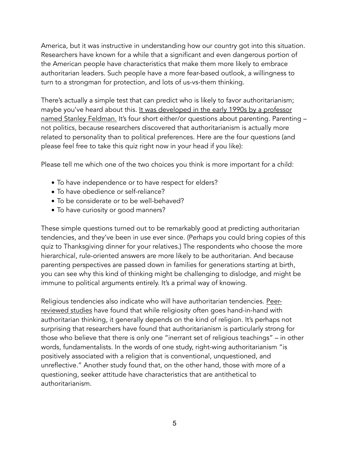America, but it was instructive in understanding how our country got into this situation. Researchers have known for a while that a significant and even dangerous portion of the American people have characteristics that make them more likely to embrace authoritarian leaders. Such people have a more fear-based outlook, a willingness to turn to a strongman for protection, and lots of us-vs-them thinking.

There's actually a simple test that can predict who is likely to favor authoritarianism; maybe you've heard about this. It was developed in the early 1990s by a professor [named Stanley Feldman. It's four short either/or questions about parenting. Parentin](https://www.vox.com/2016/3/1/11127424/trump-authoritarianism)g – not politics, because researchers discovered that authoritarianism is actually more related to personality than to political preferences. Here are the four questions (and please feel free to take this quiz right now in your head if you like):

Please tell me which one of the two choices you think is more important for a child:

- To have independence or to have respect for elders?
- To have obedience or self-reliance?
- To be considerate or to be well-behaved?
- To have curiosity or good manners?

These simple questions turned out to be remarkably good at predicting authoritarian tendencies, and they've been in use ever since. (Perhaps you could bring copies of this quiz to Thanksgiving dinner for your relatives.) The respondents who choose the more hierarchical, rule-oriented answers are more likely to be authoritarian. And because parenting perspectives are passed down in families for generations starting at birth, you can see why this kind of thinking might be challenging to dislodge, and might be immune to political arguments entirely. It's a primal way of knowing.

Religious tendencies also indicate who will have authoritarian tendencies. Peer[reviewed studies have found that while religiosity often goes hand-in-hand with](https://daily.jstor.org/what-links-religion-and-authoritarianism/) authoritarian thinking, it generally depends on the kind of religion. It's perhaps not surprising that researchers have found that authoritarianism is particularly strong for those who believe that there is only one "inerrant set of religious teachings" – in other words, fundamentalists. In the words of one study, right-wing authoritarianism "is positively associated with a religion that is conventional, unquestioned, and unreflective." Another study found that, on the other hand, those with more of a questioning, seeker attitude have characteristics that are antithetical to authoritarianism.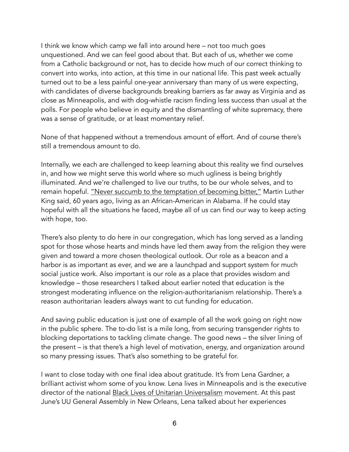I think we know which camp we fall into around here – not too much goes unquestioned. And we can feel good about that. But each of us, whether we come from a Catholic background or not, has to decide how much of our correct thinking to convert into works, into action, at this time in our national life. This past week actually turned out to be a less painful one-year anniversary than many of us were expecting, with candidates of diverse backgrounds breaking barriers as far away as Virginia and as close as Minneapolis, and with dog-whistle racism finding less success than usual at the polls. For people who believe in equity and the dismantling of white supremacy, there was a sense of gratitude, or at least momentary relief.

None of that happened without a tremendous amount of effort. And of course there's still a tremendous amount to do.

Internally, we each are challenged to keep learning about this reality we find ourselves in, and how we might serve this world where so much ugliness is being brightly illuminated. And we're challenged to live our truths, to be our whole selves, and to remain hopeful. ["Never succumb to the temptation of becoming bitter,"](https://swap.stanford.edu/20141218225620/http://mlk-kpp01.stanford.edu/primarydocuments/Vol6/5June1957TheMostDurablePower.pdf) Martin Luther King said, 60 years ago, living as an African-American in Alabama. If he could stay hopeful with all the situations he faced, maybe all of us can find our way to keep acting with hope, too.

There's also plenty to do here in our congregation, which has long served as a landing spot for those whose hearts and minds have led them away from the religion they were given and toward a more chosen theological outlook. Our role as a beacon and a harbor is as important as ever, and we are a launchpad and support system for much social justice work. Also important is our role as a place that provides wisdom and knowledge – those researchers I talked about earlier noted that education is the strongest moderating influence on the religion-authoritarianism relationship. There's a reason authoritarian leaders always want to cut funding for education.

And saving public education is just one of example of all the work going on right now in the public sphere. The to-do list is a mile long, from securing transgender rights to blocking deportations to tackling climate change. The good news – the silver lining of the present – is that there's a high level of motivation, energy, and organization around so many pressing issues. That's also something to be grateful for.

I want to close today with one final idea about gratitude. It's from Lena Gardner, a brilliant activist whom some of you know. Lena lives in Minneapolis and is the executive director of the national [Black Lives of Unitarian Universalism](http://www.blacklivesuu.com) movement. At this past June's UU General Assembly in New Orleans, Lena talked about her experiences